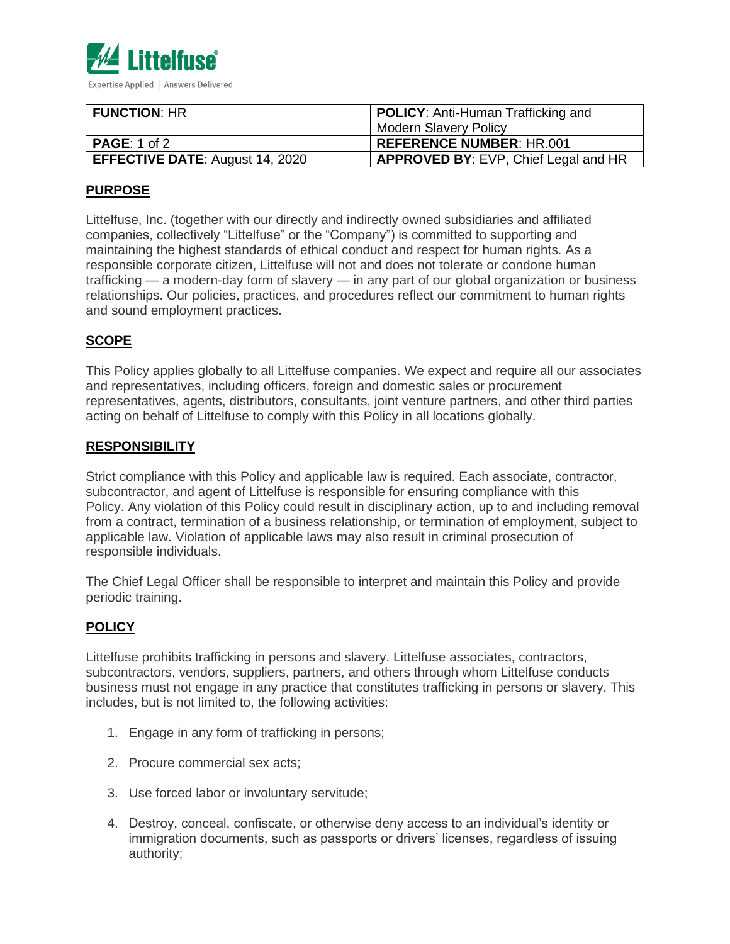

| <b>FUNCTION: HR</b>                    | <b>POLICY:</b> Anti-Human Trafficking and   |
|----------------------------------------|---------------------------------------------|
|                                        | <b>Modern Slavery Policy</b>                |
| <b>PAGE:</b> 1 of 2                    | REFERENCE NUMBER: HR.001                    |
| <b>EFFECTIVE DATE: August 14, 2020</b> | <b>APPROVED BY: EVP, Chief Legal and HR</b> |

# **PURPOSE**

Littelfuse, Inc. (together with our directly and indirectly owned subsidiaries and affiliated companies, collectively "Littelfuse" or the "Company") is committed to supporting and maintaining the highest standards of ethical conduct and respect for human rights. As a responsible corporate citizen, Littelfuse will not and does not tolerate or condone human trafficking — a modern-day form of slavery — in any part of our global organization or business relationships. Our policies, practices, and procedures reflect our commitment to human rights and sound employment practices.

## **SCOPE**

This Policy applies globally to all Littelfuse companies. We expect and require all our associates and representatives, including officers, foreign and domestic sales or procurement representatives, agents, distributors, consultants, joint venture partners, and other third parties acting on behalf of Littelfuse to comply with this Policy in all locations globally.

### **RESPONSIBILITY**

Strict compliance with this Policy and applicable law is required. Each associate, contractor, subcontractor, and agent of Littelfuse is responsible for ensuring compliance with this Policy. Any violation of this Policy could result in disciplinary action, up to and including removal from a contract, termination of a business relationship, or termination of employment, subject to applicable law. Violation of applicable laws may also result in criminal prosecution of responsible individuals.

The Chief Legal Officer shall be responsible to interpret and maintain this Policy and provide periodic training.

### **POLICY**

Littelfuse prohibits trafficking in persons and slavery. Littelfuse associates, contractors, subcontractors, vendors, suppliers, partners, and others through whom Littelfuse conducts business must not engage in any practice that constitutes trafficking in persons or slavery. This includes, but is not limited to, the following activities:

- 1. Engage in any form of trafficking in persons;
- 2. Procure commercial sex acts;
- 3. Use forced labor or involuntary servitude;
- 4. Destroy, conceal, confiscate, or otherwise deny access to an individual's identity or immigration documents, such as passports or drivers' licenses, regardless of issuing authority;